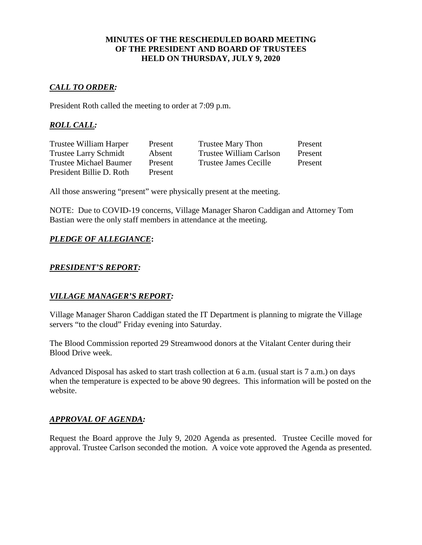### **MINUTES OF THE RESCHEDULED BOARD MEETING OF THE PRESIDENT AND BOARD OF TRUSTEES HELD ON THURSDAY, JULY 9, 2020**

# *CALL TO ORDER:*

President Roth called the meeting to order at 7:09 p.m.

# *ROLL CALL:*

| Trustee William Harper       | Present | <b>Trustee Mary Thon</b> | Present |
|------------------------------|---------|--------------------------|---------|
| <b>Trustee Larry Schmidt</b> | Absent  | Trustee William Carlson  | Present |
| Trustee Michael Baumer       | Present | Trustee James Cecille    | Present |
| President Billie D. Roth     | Present |                          |         |

All those answering "present" were physically present at the meeting.

NOTE: Due to COVID-19 concerns, Village Manager Sharon Caddigan and Attorney Tom Bastian were the only staff members in attendance at the meeting.

# *PLEDGE OF ALLEGIANCE***:**

## *PRESIDENT'S REPORT:*

## *VILLAGE MANAGER'S REPORT:*

Village Manager Sharon Caddigan stated the IT Department is planning to migrate the Village servers "to the cloud" Friday evening into Saturday.

The Blood Commission reported 29 Streamwood donors at the Vitalant Center during their Blood Drive week.

Advanced Disposal has asked to start trash collection at 6 a.m. (usual start is 7 a.m.) on days when the temperature is expected to be above 90 degrees. This information will be posted on the website.

### *APPROVAL OF AGENDA:*

Request the Board approve the July 9, 2020 Agenda as presented. Trustee Cecille moved for approval. Trustee Carlson seconded the motion. A voice vote approved the Agenda as presented.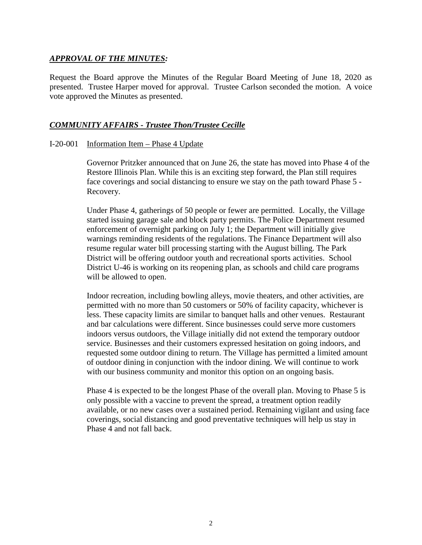### *APPROVAL OF THE MINUTES:*

Request the Board approve the Minutes of the Regular Board Meeting of June 18, 2020 as presented. Trustee Harper moved for approval. Trustee Carlson seconded the motion. A voice vote approved the Minutes as presented.

### *COMMUNITY AFFAIRS - Trustee Thon/Trustee Cecille*

### I-20-001 Information Item – Phase 4 Update

Governor Pritzker announced that on June 26, the state has moved into Phase 4 of the Restore Illinois Plan. While this is an exciting step forward, the Plan still requires face coverings and social distancing to ensure we stay on the path toward Phase 5 - Recovery.

Under Phase 4, gatherings of 50 people or fewer are permitted. Locally, the Village started issuing garage sale and block party permits. The Police Department resumed enforcement of overnight parking on July 1; the Department will initially give warnings reminding residents of the regulations. The Finance Department will also resume regular water bill processing starting with the August billing. The Park District will be offering outdoor youth and recreational sports activities. School District U-46 is working on its reopening plan, as schools and child care programs will be allowed to open.

Indoor recreation, including bowling alleys, movie theaters, and other activities, are permitted with no more than 50 customers or 50% of facility capacity, whichever is less. These capacity limits are similar to banquet halls and other venues. Restaurant and bar calculations were different. Since businesses could serve more customers indoors versus outdoors, the Village initially did not extend the temporary outdoor service. Businesses and their customers expressed hesitation on going indoors, and requested some outdoor dining to return. The Village has permitted a limited amount of outdoor dining in conjunction with the indoor dining. We will continue to work with our business community and monitor this option on an ongoing basis.

Phase 4 is expected to be the longest Phase of the overall plan. Moving to Phase 5 is only possible with a vaccine to prevent the spread, a treatment option readily available, or no new cases over a sustained period. Remaining vigilant and using face coverings, social distancing and good preventative techniques will help us stay in Phase 4 and not fall back.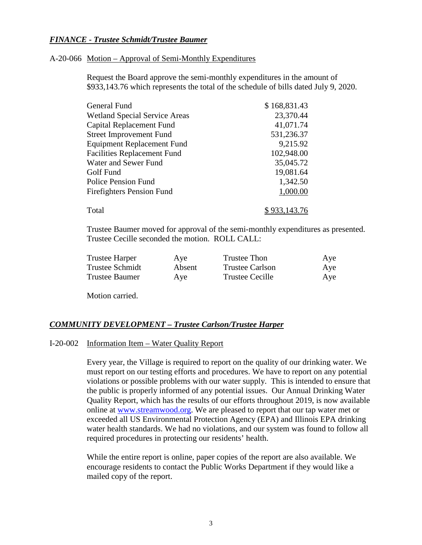### *FINANCE - Trustee Schmidt/Trustee Baumer*

#### A-20-066 Motion – Approval of Semi-Monthly Expenditures

Request the Board approve the semi-monthly expenditures in the amount of \$933,143.76 which represents the total of the schedule of bills dated July 9, 2020.

| General Fund                         | \$168,831.43 |
|--------------------------------------|--------------|
| <b>Wetland Special Service Areas</b> | 23,370.44    |
| Capital Replacement Fund             | 41,071.74    |
| <b>Street Improvement Fund</b>       | 531,236.37   |
| <b>Equipment Replacement Fund</b>    | 9,215.92     |
| <b>Facilities Replacement Fund</b>   | 102,948.00   |
| Water and Sewer Fund                 | 35,045.72    |
| Golf Fund                            | 19,081.64    |
| <b>Police Pension Fund</b>           | 1,342.50     |
| <b>Firefighters Pension Fund</b>     | 1,000.00     |
| Total                                |              |

Trustee Baumer moved for approval of the semi-monthly expenditures as presented. Trustee Cecille seconded the motion. ROLL CALL:

| <b>Trustee Harper</b> | Aye    | Trustee Thon           | Aye |
|-----------------------|--------|------------------------|-----|
| Trustee Schmidt       | Absent | <b>Trustee Carlson</b> | Aye |
| <b>Trustee Baumer</b> | Aye    | Trustee Cecille        | Aye |

Motion carried.

### *COMMUNITY DEVELOPMENT – Trustee Carlson/Trustee Harper*

#### I-20-002 Information Item – Water Quality Report

Every year, the Village is required to report on the quality of our drinking water. We must report on our testing efforts and procedures. We have to report on any potential violations or possible problems with our water supply. This is intended to ensure that the public is properly informed of any potential issues. Our Annual Drinking Water Quality Report, which has the results of our efforts throughout 2019, is now available online at [www.streamwood.org.](http://www.streamwood.org/) We are pleased to report that our tap water met or exceeded all US Environmental Protection Agency (EPA) and Illinois EPA drinking water health standards. We had no violations, and our system was found to follow all required procedures in protecting our residents' health.

While the entire report is online, paper copies of the report are also available. We encourage residents to contact the Public Works Department if they would like a mailed copy of the report.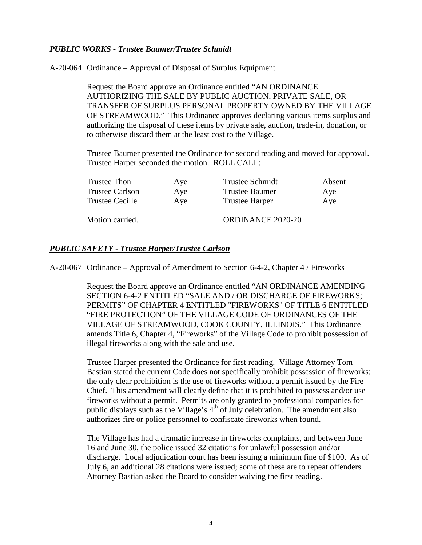## *PUBLIC WORKS - Trustee Baumer/Trustee Schmidt*

#### A-20-064 Ordinance – Approval of Disposal of Surplus Equipment

Request the Board approve an Ordinance entitled "AN ORDINANCE AUTHORIZING THE SALE BY PUBLIC AUCTION, PRIVATE SALE, OR TRANSFER OF SURPLUS PERSONAL PROPERTY OWNED BY THE VILLAGE OF STREAMWOOD." This Ordinance approves declaring various items surplus and authorizing the disposal of these items by private sale, auction, trade-in, donation, or to otherwise discard them at the least cost to the Village.

Trustee Baumer presented the Ordinance for second reading and moved for approval. Trustee Harper seconded the motion. ROLL CALL:

| Trustee Thon    | Aye | <b>Trustee Schmidt</b> | Absent |
|-----------------|-----|------------------------|--------|
| Trustee Carlson | Aye | Trustee Baumer         | Aye    |
| Trustee Cecille | Aye | <b>Trustee Harper</b>  | Aye    |
|                 |     |                        |        |

Motion carried. CORDINANCE 2020-20

### *PUBLIC SAFETY - Trustee Harper/Trustee Carlson*

#### A-20-067 Ordinance – Approval of Amendment to Section 6-4-2, Chapter 4 / Fireworks

Request the Board approve an Ordinance entitled "AN ORDINANCE AMENDING SECTION 6-4-2 ENTITLED "SALE AND / OR DISCHARGE OF FIREWORKS; PERMITS" OF CHAPTER 4 ENTITLED "FIREWORKS" OF TITLE 6 ENTITLED "FIRE PROTECTION" OF THE VILLAGE CODE OF ORDINANCES OF THE VILLAGE OF STREAMWOOD, COOK COUNTY, ILLINOIS." This Ordinance amends Title 6, Chapter 4, "Fireworks" of the Village Code to prohibit possession of illegal fireworks along with the sale and use.

Trustee Harper presented the Ordinance for first reading. Village Attorney Tom Bastian stated the current Code does not specifically prohibit possession of fireworks; the only clear prohibition is the use of fireworks without a permit issued by the Fire Chief. This amendment will clearly define that it is prohibited to possess and/or use fireworks without a permit. Permits are only granted to professional companies for public displays such as the Village's  $4<sup>th</sup>$  of July celebration. The amendment also authorizes fire or police personnel to confiscate fireworks when found.

The Village has had a dramatic increase in fireworks complaints, and between June 16 and June 30, the police issued 32 citations for unlawful possession and/or discharge. Local adjudication court has been issuing a minimum fine of \$100. As of July 6, an additional 28 citations were issued; some of these are to repeat offenders. Attorney Bastian asked the Board to consider waiving the first reading.